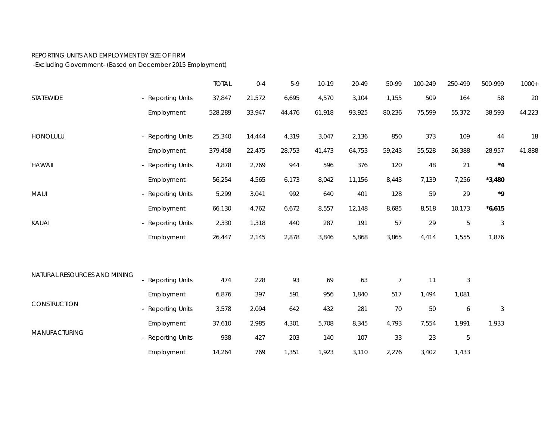## REPORTING UNITS AND EMPLOYMENT BY SIZE OF FIRM

-Excluding Government- (Based on December 2015 Employment)

|                              |                        | <b>TOTAL</b> | $0 - 4$ | $5-9$  | $10-19$ | 20-49  | 50-99          | 100-249 | 250-499          | 500-999                   | $1000+$ |
|------------------------------|------------------------|--------------|---------|--------|---------|--------|----------------|---------|------------------|---------------------------|---------|
| STATEWIDE                    | - Reporting Units      | 37,847       | 21,572  | 6,695  | 4,570   | 3,104  | 1,155          | 509     | 164              | 58                        | 20      |
|                              | Employment             | 528,289      | 33,947  | 44,476 | 61,918  | 93,925 | 80,236         | 75,599  | 55,372           | 38,593                    | 44,223  |
| HONOLULU                     | - Reporting Units      | 25,340       | 14,444  | 4,319  | 3,047   | 2,136  | 850            | 373     | 109              | $44\,$                    | 18      |
|                              | Employment             | 379,458      | 22,475  | 28,753 | 41,473  | 64,753 | 59,243         | 55,528  | 36,388           | 28,957                    | 41,888  |
| <b>HAWAII</b>                | <b>Reporting Units</b> | 4,878        | 2,769   | 944    | 596     | 376    | 120            | 48      | 21               | $^{\star}4$               |         |
|                              | Employment             | 56,254       | 4,565   | 6,173  | 8,042   | 11,156 | 8,443          | 7,139   | 7,256            | $*3,480$                  |         |
| MAUI                         | <b>Reporting Units</b> | 5,299        | 3,041   | 992    | 640     | 401    | 128            | 59      | 29               | ${}^{\star}{9}$           |         |
|                              | Employment             | 66,130       | 4,762   | 6,672  | 8,557   | 12,148 | 8,685          | 8,518   | 10,173           | $*6,615$                  |         |
| KAUAI                        | <b>Reporting Units</b> | 2,330        | 1,318   | 440    | 287     | 191    | 57             | 29      | $\mathbf 5$      | $\sqrt{3}$                |         |
|                              | Employment             | 26,447       | 2,145   | 2,878  | 3,846   | 5,868  | 3,865          | 4,414   | 1,555            | 1,876                     |         |
|                              |                        |              |         |        |         |        |                |         |                  |                           |         |
| NATURAL RESOURCES AND MINING | <b>Reporting Units</b> | 474          | 228     | 93     | 69      | 63     | $\overline{7}$ | 11      | $\sqrt{3}$       |                           |         |
|                              | Employment             | 6,876        | 397     | 591    | 956     | 1,840  | 517            | 1,494   | 1,081            |                           |         |
| CONSTRUCTION                 | <b>Reporting Units</b> | 3,578        | 2,094   | 642    | 432     | 281    | 70             | 50      | $\boldsymbol{6}$ | $\ensuremath{\mathsf{3}}$ |         |
| MANUFACTURING                | Employment             | 37,610       | 2,985   | 4,301  | 5,708   | 8,345  | 4,793          | 7,554   | 1,991            | 1,933                     |         |
|                              | <b>Reporting Units</b> | 938          | 427     | 203    | 140     | 107    | 33             | 23      | $\mathbf 5$      |                           |         |
|                              | Employment             | 14,264       | 769     | 1,351  | 1,923   | 3,110  | 2,276          | 3,402   | 1,433            |                           |         |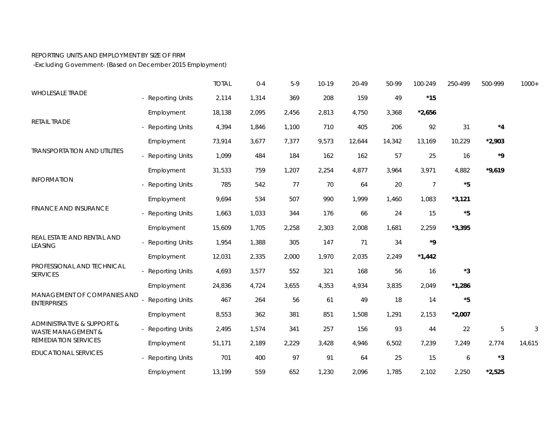## REPORTING UNITS AND EMPLOYMENT BY SIZE OF FIRM

-Excluding Government- (Based on December 2015 Employment)

|                                                                                                                           |                        | <b>TOTAL</b> | $0 - 4$ | $5-9$ | $10-19$ | 20-49  | 50-99  | 100-249        | 250-499     | 500-999         | $1000+$ |
|---------------------------------------------------------------------------------------------------------------------------|------------------------|--------------|---------|-------|---------|--------|--------|----------------|-------------|-----------------|---------|
| <b>WHOLESALE TRADE</b>                                                                                                    | - Reporting Units      | 2,114        | 1,314   | 369   | 208     | 159    | 49     | $*15$          |             |                 |         |
| RETAIL TRADE                                                                                                              | Employment             | 18,138       | 2,095   | 2,456 | 2,813   | 4,750  | 3,368  | $*2,656$       |             |                 |         |
|                                                                                                                           | - Reporting Units      | 4,394        | 1,846   | 1,100 | 710     | 405    | 206    | 92             | 31          | $^{\star}4$     |         |
| <b>TRANSPORTATION AND UTILITIES</b>                                                                                       | Employment             | 73,914       | 3,677   | 7,377 | 9,573   | 12,644 | 14,342 | 13,169         | 10,229      | $*2,903$        |         |
|                                                                                                                           | - Reporting Units      | 1,099        | 484     | 184   | 162     | 162    | 57     | 25             | 16          | ${}^{\star}{9}$ |         |
| <b>INFORMATION</b><br><b>FINANCE AND INSURANCE</b>                                                                        | Employment             | 31,533       | 759     | 1,207 | 2,254   | 4,877  | 3,964  | 3,971          | 4,882       | $*9,619$        |         |
|                                                                                                                           | - Reporting Units      | 785          | 542     | 77    | 70      | 64     | 20     | $\overline{7}$ | $^{\star}5$ |                 |         |
|                                                                                                                           | Employment             | 9,694        | 534     | 507   | 990     | 1,999  | 1,460  | 1,083          | $*3,121$    |                 |         |
|                                                                                                                           | - Reporting Units      | 1,663        | 1,033   | 344   | 176     | 66     | 24     | 15             | *5          |                 |         |
| REAL ESTATE AND RENTAL AND<br><b>LEASING</b>                                                                              | Employment             | 15,609       | 1,705   | 2,258 | 2,303   | 2,008  | 1,681  | 2,259          | $*3,395$    |                 |         |
|                                                                                                                           | - Reporting Units      | 1,954        | 1,388   | 305   | 147     | 71     | 34     | *9             |             |                 |         |
|                                                                                                                           | Employment             | 12,031       | 2,335   | 2,000 | 1,970   | 2,035  | 2,249  | $*1,442$       |             |                 |         |
| PROFESSIONAL AND TECHNICAL<br><b>SERVICES</b>                                                                             | - Reporting Units      | 4,693        | 3,577   | 552   | 321     | 168    | 56     | 16             | *3          |                 |         |
|                                                                                                                           | Employment             | 24,836       | 4,724   | 3,655 | 4,353   | 4,934  | 3,835  | 2,049          | $*1,286$    |                 |         |
| MANAGEMENT OF COMPANIES AND<br><b>ENTERPRISES</b>                                                                         | <b>Reporting Units</b> | 467          | 264     | 56    | 61      | 49     | 18     | 14             | *5          |                 |         |
|                                                                                                                           | Employment             | 8,553        | 362     | 381   | 851     | 1,508  | 1,291  | 2,153          | $*2,007$    |                 |         |
| ADMINISTRATIVE & SUPPORT &<br><b>WASTE MANAGEMENT &amp;</b><br><b>REMEDIATION SERVICES</b><br><b>EDUCATIONAL SERVICES</b> | - Reporting Units      | 2,495        | 1,574   | 341   | 257     | 156    | 93     | 44             | 22          | 5               | 3       |
|                                                                                                                           | Employment             | 51,171       | 2,189   | 2,229 | 3,428   | 4,946  | 6,502  | 7,239          | 7,249       | 2,774           | 14,615  |
|                                                                                                                           | - Reporting Units      | 701          | 400     | 97    | 91      | 64     | 25     | 15             | 6           | *3              |         |
|                                                                                                                           | Employment             | 13,199       | 559     | 652   | 1,230   | 2,096  | 1,785  | 2,102          | 2,250       | $*2,525$        |         |